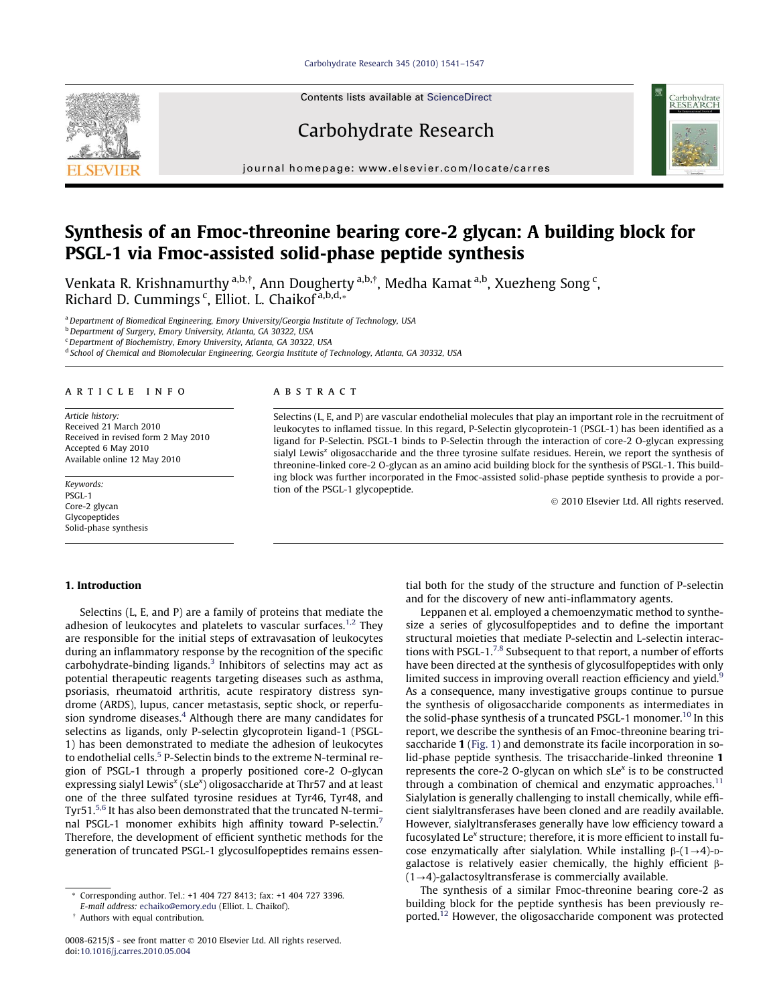Carbohydrate Research 345 (2010) 1541–1547



# Carbohydrate Research



journal homepage: www.elsevier.com/locate/carres

# Synthesis of an Fmoc-threonine bearing core-2 glycan: A building block for PSGL-1 via Fmoc-assisted solid-phase peptide synthesis

Venkata R. Krishnamurthy <sup>a,b,†</sup>, Ann Dougherty <sup>a,b,†</sup>, Medha Kamat <sup>a,b</sup>, Xuezheng Song <sup>c</sup>, Richard D. Cummings <sup>c</sup>, Elliot. L. Chaikof<sup>a,b,d,</sup>\*

aDepartment of Biomedical Engineering, Emory University/Georgia Institute of Technology, USA

b Department of Surgery, Emory University, Atlanta, GA 30322, USA

<sup>c</sup> Department of Biochemistry, Emory University, Atlanta, GA 30322, USA

<sup>d</sup> School of Chemical and Biomolecular Engineering, Georgia Institute of Technology, Atlanta, GA 30332, USA

### article info

Article history: Received 21 March 2010 Received in revised form 2 May 2010 Accepted 6 May 2010 Available online 12 May 2010

Keywords: PSGL-1 Core-2 glycan Glycopeptides Solid-phase synthesis

# ABSTRACT

Selectins (L, E, and P) are vascular endothelial molecules that play an important role in the recruitment of leukocytes to inflamed tissue. In this regard, P-Selectin glycoprotein-1 (PSGL-1) has been identified as a ligand for P-Selectin. PSGL-1 binds to P-Selectin through the interaction of core-2 O-glycan expressing sialyl Lewis<sup>x</sup> oligosaccharide and the three tyrosine sulfate residues. Herein, we report the synthesis of threonine-linked core-2 O-glycan as an amino acid building block for the synthesis of PSGL-1. This building block was further incorporated in the Fmoc-assisted solid-phase peptide synthesis to provide a portion of the PSGL-1 glycopeptide.

- 2010 Elsevier Ltd. All rights reserved.

#### 1. Introduction

Selectins (L, E, and P) are a family of proteins that mediate the adhesion of leukocytes and platelets to vascular surfaces.<sup>1,2</sup> They are responsible for the initial steps of extravasation of leukocytes during an inflammatory response by the recognition of the specific carbohydrate-binding ligands.<sup>3</sup> Inhibitors of selectins may act as potential therapeutic reagents targeting diseases such as asthma, psoriasis, rheumatoid arthritis, acute respiratory distress syndrome (ARDS), lupus, cancer metastasis, septic shock, or reperfusion syndrome diseases.<sup>4</sup> Although there are many candidates for selectins as ligands, only P-selectin glycoprotein ligand-1 (PSGL-1) has been demonstrated to mediate the adhesion of leukocytes to endothelial cells.<sup>5</sup> P-Selectin binds to the extreme N-terminal region of PSGL-1 through a properly positioned core-2 O-glycan expressing sialyl Lewis<sup>x</sup> (sLe<sup>x</sup>) oligosaccharide at Thr57 and at least one of the three sulfated tyrosine residues at Tyr46, Tyr48, and Tyr51.<sup>5,6</sup> It has also been demonstrated that the truncated N-terminal PSGL-1 monomer exhibits high affinity toward P-selectin.<sup>7</sup> Therefore, the development of efficient synthetic methods for the generation of truncated PSGL-1 glycosulfopeptides remains essen-

E-mail address: echaiko@emory.edu (Elliot. L. Chaikof).

tial both for the study of the structure and function of P-selectin and for the discovery of new anti-inflammatory agents.

Leppanen et al. employed a chemoenzymatic method to synthesize a series of glycosulfopeptides and to define the important structural moieties that mediate P-selectin and L-selectin interactions with PSGL- $1.^{7,8}$  Subsequent to that report, a number of efforts have been directed at the synthesis of glycosulfopeptides with only limited success in improving overall reaction efficiency and yield.<sup>9</sup> As a consequence, many investigative groups continue to pursue the synthesis of oligosaccharide components as intermediates in the solid-phase synthesis of a truncated PSGL-1 monomer.<sup>10</sup> In this report, we describe the synthesis of an Fmoc-threonine bearing trisaccharide 1 (Fig. 1) and demonstrate its facile incorporation in solid-phase peptide synthesis. The trisaccharide-linked threonine 1 represents the core-2 O-glycan on which sLe $x$  is to be constructed through a combination of chemical and enzymatic approaches.<sup>11</sup> Sialylation is generally challenging to install chemically, while efficient sialyltransferases have been cloned and are readily available. However, sialyltransferases generally have low efficiency toward a fucosylated Le<sup>x</sup> structure; therefore, it is more efficient to install fucose enzymatically after sialylation. While installing  $\beta$ - $(1\rightarrow4)$ -Dgalactose is relatively easier chemically, the highly efficient  $\beta$ - $(1\rightarrow4)$ -galactosyltransferase is commercially available.

The synthesis of a similar Fmoc-threonine bearing core-2 as building block for the peptide synthesis has been previously reported.12 However, the oligosaccharide component was protected

<sup>\*</sup> Corresponding author. Tel.: +1 404 727 8413; fax: +1 404 727 3396.

<sup>-</sup> Authors with equal contribution.

<sup>0008-6215/\$ -</sup> see front matter © 2010 Elsevier Ltd. All rights reserved. doi:10.1016/j.carres.2010.05.004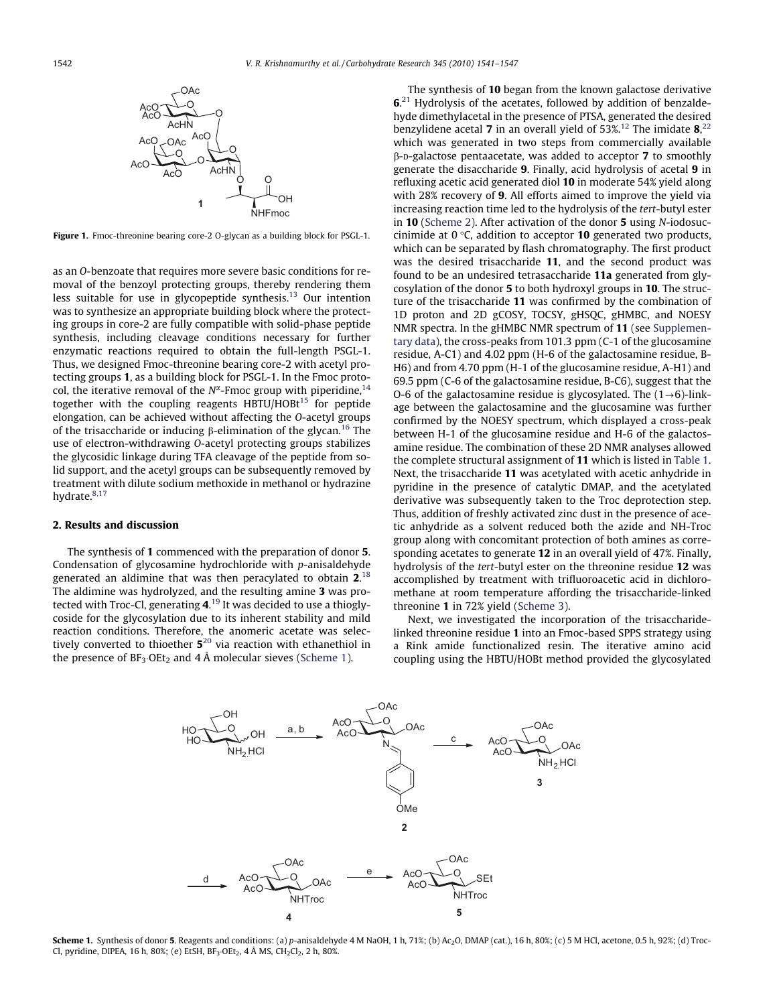

Figure 1. Fmoc-threonine bearing core-2 O-glycan as a building block for PSGL-1.

as an O-benzoate that requires more severe basic conditions for removal of the benzoyl protecting groups, thereby rendering them less suitable for use in glycopeptide synthesis.<sup>13</sup> Our intention was to synthesize an appropriate building block where the protecting groups in core-2 are fully compatible with solid-phase peptide synthesis, including cleavage conditions necessary for further enzymatic reactions required to obtain the full-length PSGL-1. Thus, we designed Fmoc-threonine bearing core-2 with acetyl protecting groups 1, as a building block for PSGL-1. In the Fmoc protocol, the iterative removal of the  $N^{\alpha}$ -Fmoc group with piperidine,<sup>14</sup> together with the coupling reagents  $HBTU/HOBt^{15}$  for peptide elongation, can be achieved without affecting the O-acetyl groups of the trisaccharide or inducing  $\beta$ -elimination of the glycan.<sup>16</sup> The use of electron-withdrawing O-acetyl protecting groups stabilizes the glycosidic linkage during TFA cleavage of the peptide from solid support, and the acetyl groups can be subsequently removed by treatment with dilute sodium methoxide in methanol or hydrazine hydrate.<sup>8,17</sup>

#### 2. Results and discussion

The synthesis of 1 commenced with the preparation of donor 5. Condensation of glycosamine hydrochloride with p-anisaldehyde generated an aldimine that was then peracylated to obtain  $2^{18}$ The aldimine was hydrolyzed, and the resulting amine 3 was protected with Troc-Cl, generating  $\mathbf{4}^{19}$  It was decided to use a thioglycoside for the glycosylation due to its inherent stability and mild reaction conditions. Therefore, the anomeric acetate was selectively converted to thioether  $5^{20}$  via reaction with ethanethiol in the presence of  $BF_3 \cdot OEt_2$  and 4 Å molecular sieves (Scheme 1).

The synthesis of 10 began from the known galactose derivative  $6<sup>21</sup>$  Hydrolysis of the acetates, followed by addition of benzaldehyde dimethylacetal in the presence of PTSA, generated the desired benzylidene acetal **7** in an overall yield of 53%.<sup>12</sup> The imidate  $8^{22}$ , which was generated in two steps from commercially available  $\beta$ -D-galactose pentaacetate, was added to acceptor 7 to smoothly generate the disaccharide 9. Finally, acid hydrolysis of acetal 9 in refluxing acetic acid generated diol 10 in moderate 54% yield along with 28% recovery of 9. All efforts aimed to improve the yield via increasing reaction time led to the hydrolysis of the tert-butyl ester in 10 (Scheme 2). After activation of the donor 5 using N-iodosuccinimide at  $0^{\circ}$ C, addition to acceptor **10** generated two products, which can be separated by flash chromatography. The first product was the desired trisaccharide 11, and the second product was found to be an undesired tetrasaccharide 11a generated from glycosylation of the donor 5 to both hydroxyl groups in 10. The structure of the trisaccharide 11 was confirmed by the combination of 1D proton and 2D gCOSY, TOCSY, gHSQC, gHMBC, and NOESY NMR spectra. In the gHMBC NMR spectrum of 11 (see Supplementary data), the cross-peaks from 101.3 ppm (C-1 of the glucosamine residue, A-C1) and 4.02 ppm (H-6 of the galactosamine residue, B-H6) and from 4.70 ppm (H-1 of the glucosamine residue, A-H1) and 69.5 ppm (C-6 of the galactosamine residue, B-C6), suggest that the O-6 of the galactosamine residue is glycosylated. The  $(1\rightarrow6)$ -linkage between the galactosamine and the glucosamine was further confirmed by the NOESY spectrum, which displayed a cross-peak between H-1 of the glucosamine residue and H-6 of the galactosamine residue. The combination of these 2D NMR analyses allowed the complete structural assignment of 11 which is listed in Table 1. Next, the trisaccharide 11 was acetylated with acetic anhydride in pyridine in the presence of catalytic DMAP, and the acetylated derivative was subsequently taken to the Troc deprotection step. Thus, addition of freshly activated zinc dust in the presence of acetic anhydride as a solvent reduced both the azide and NH-Troc group along with concomitant protection of both amines as corresponding acetates to generate 12 in an overall yield of 47%. Finally, hydrolysis of the tert-butyl ester on the threonine residue 12 was accomplished by treatment with trifluoroacetic acid in dichloromethane at room temperature affording the trisaccharide-linked threonine 1 in 72% yield (Scheme 3).

Next, we investigated the incorporation of the trisaccharidelinked threonine residue 1 into an Fmoc-based SPPS strategy using a Rink amide functionalized resin. The iterative amino acid coupling using the HBTU/HOBt method provided the glycosylated



Scheme 1. Synthesis of donor 5. Reagents and conditions: (a) p-anisaldehyde 4 M NaOH, 1 h, 71%; (b) Ac<sub>2</sub>O, DMAP (cat.), 16 h, 80%; (c) 5 M HCl, acetone, 0.5 h, 92%; (d) Troc-Cl, pyridine, DIPEA, 16 h, 80%; (e) EtSH,  $BF_3 \cdot OEt_2$ , 4 Å MS,  $CH_2Cl_2$ , 2 h, 80%.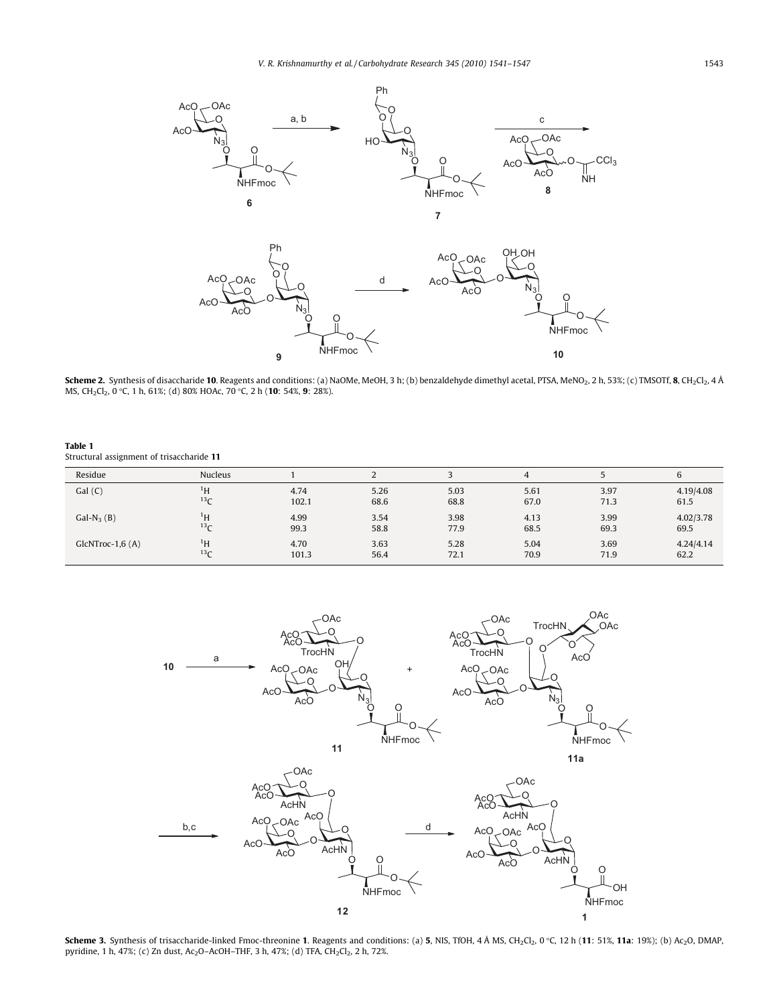

Scheme 2. Synthesis of disaccharide 10. Reagents and conditions: (a) NaOMe, MeOH, 3 h; (b) benzaldehyde dimethyl acetal, PTSA, MeNO2, 2 h, 53%; (c) TMSOTf, 8, CH2Cl2, 4 Å MS, CH<sub>2</sub>Cl<sub>2</sub>, 0 °C, 1 h, 61%; (d) 80% HOAc, 70 °C, 2 h (10: 54%, 9: 28%).

Table 1 Structural assignment of trisaccharide 11

| Residue           | <b>Nucleus</b>  |       | ∼    |      | 4    |      | $\sim$<br>6 |
|-------------------|-----------------|-------|------|------|------|------|-------------|
| Gal(C)            | $\rm ^1H$       | 4.74  | 5.26 | 5.03 | 5.61 | 3.97 | 4.19/4.08   |
|                   | 13 <sub>C</sub> | 102.1 | 68.6 | 68.8 | 67.0 | 71.3 | 61.5        |
| $Gal-N3(B)$       | $\rm ^1H$       | 4.99  | 3.54 | 3.98 | 4.13 | 3.99 | 4.02/3.78   |
|                   | 13 <sub>C</sub> | 99.3  | 58.8 | 77.9 | 68.5 | 69.3 | 69.5        |
| $GlcNTroc-1,6(A)$ | $\rm ^1H$       | 4.70  | 3.63 | 5.28 | 5.04 | 3.69 | 4.24/4.14   |
|                   | 13 <sub>C</sub> | 101.3 | 56.4 | 72.1 | 70.9 | 71.9 | 62.2        |



Scheme 3. Synthesis of trisaccharide-linked Fmoc-threonine 1. Reagents and conditions: (a) 5, NIS, TfOH, 4 Å MS, CH<sub>2</sub>Cl<sub>2</sub>, 0 °C, 12 h (11: 51%, 11a: 19%); (b) Ac<sub>2</sub>O, DMAP, pyridine, 1 h, 47%; (c) Zn dust, Ac<sub>2</sub>O-AcOH-THF, 3 h, 47%; (d) TFA, CH<sub>2</sub>Cl<sub>2</sub>, 2 h, 72%.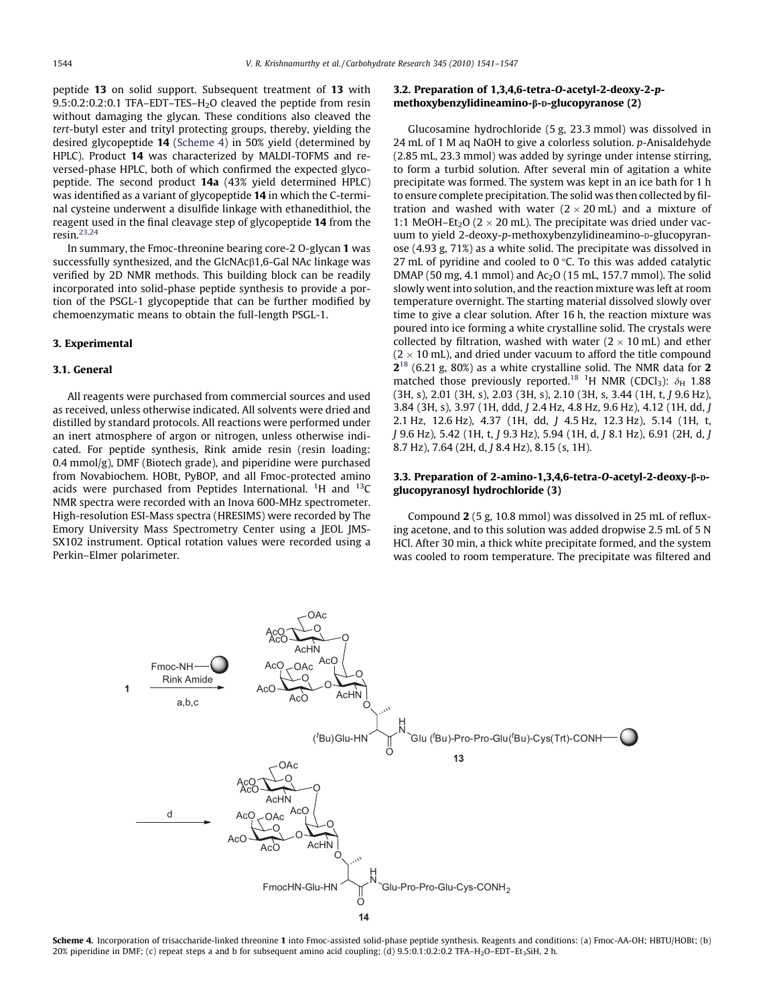peptide 13 on solid support. Subsequent treatment of 13 with 9.5:0.2:0.2:0.1 TFA-EDT-TES-H<sub>2</sub>O cleaved the peptide from resin without damaging the glycan. These conditions also cleaved the tert-butyl ester and trityl protecting groups, thereby, yielding the desired glycopeptide 14 (Scheme 4) in 50% yield (determined by HPLC). Product 14 was characterized by MALDI-TOFMS and reversed-phase HPLC, both of which confirmed the expected glycopeptide. The second product 14a (43% yield determined HPLC) was identified as a variant of glycopeptide 14 in which the C-terminal cysteine underwent a disulfide linkage with ethanedithiol, the reagent used in the final cleavage step of glycopeptide 14 from the resin. $23,24$ 

In summary, the Fmoc-threonine bearing core-2 O-glycan 1 was successfully synthesized, and the  $GlcNAc\beta1,6-Gal NAc$  linkage was verified by 2D NMR methods. This building block can be readily incorporated into solid-phase peptide synthesis to provide a portion of the PSGL-1 glycopeptide that can be further modified by chemoenzymatic means to obtain the full-length PSGL-1.

#### 3. Experimental

#### 3.1. General

All reagents were purchased from commercial sources and used as received, unless otherwise indicated. All solvents were dried and distilled by standard protocols. All reactions were performed under an inert atmosphere of argon or nitrogen, unless otherwise indicated. For peptide synthesis, Rink amide resin (resin loading: 0.4 mmol/g), DMF (Biotech grade), and piperidine were purchased from Novabiochem. HOBt, PyBOP, and all Fmoc-protected amino acids were purchased from Peptides International.  $^1$ H and  $^{13}$ C NMR spectra were recorded with an Inova 600-MHz spectrometer. High-resolution ESI-Mass spectra (HRESIMS) were recorded by The Emory University Mass Spectrometry Center using a JEOL JMS-SX102 instrument. Optical rotation values were recorded using a Perkin–Elmer polarimeter.

## 3.2. Preparation of 1,3,4,6-tetra-O-acetyl-2-deoxy-2-pmethoxybenzylidineamino-β-D-glucopyranose (2)

Glucosamine hydrochloride (5 g, 23.3 mmol) was dissolved in 24 mL of 1 M aq NaOH to give a colorless solution. p-Anisaldehyde (2.85 mL, 23.3 mmol) was added by syringe under intense stirring, to form a turbid solution. After several min of agitation a white precipitate was formed. The system was kept in an ice bath for 1 h to ensure complete precipitation. The solid was then collected by filtration and washed with water  $(2 \times 20 \text{ mL})$  and a mixture of 1:1 MeOH–Et<sub>2</sub>O ( $2 \times 20$  mL). The precipitate was dried under vacuum to yield 2-deoxy-p-methoxybenzylidineamino-p-glucopyranose (4.93 g, 71%) as a white solid. The precipitate was dissolved in 27 mL of pyridine and cooled to  $0^{\circ}$ C. To this was added catalytic DMAP (50 mg, 4.1 mmol) and  $Ac_2O$  (15 mL, 157.7 mmol). The solid slowly went into solution, and the reaction mixture was left at room temperature overnight. The starting material dissolved slowly over time to give a clear solution. After 16 h, the reaction mixture was poured into ice forming a white crystalline solid. The crystals were collected by filtration, washed with water  $(2 \times 10 \text{ mL})$  and ether  $(2 \times 10 \text{ mL})$ , and dried under vacuum to afford the title compound  $2^{18}$  (6.21 g, 80%) as a white crystalline solid. The NMR data for 2 matched those previously reported.<sup>18</sup> <sup>1</sup>H NMR (CDCl<sub>3</sub>):  $\delta_{\rm H}$  1.88 (3H, s), 2.01 (3H, s), 2.03 (3H, s), 2.10 (3H, s, 3.44 (1H, t, J 9.6 Hz), 3.84 (3H, s), 3.97 (1H, ddd, J 2.4 Hz, 4.8 Hz, 9.6 Hz), 4.12 (1H, dd, J 2.1 Hz, 12.6 Hz), 4.37 (1H, dd, J 4.5 Hz, 12.3 Hz), 5.14 (1H, t, J 9.6 Hz), 5.42 (1H, t, J 9.3 Hz), 5.94 (1H, d, J 8.1 Hz), 6.91 (2H, d, J 8.7 Hz), 7.64 (2H, d, J 8.4 Hz), 8.15 (s, 1H).

### 3.3. Preparation of 2-amino-1,3,4,6-tetra-O-acetyl-2-deoxy-b-Dglucopyranosyl hydrochloride (3)

Compound 2 (5 g, 10.8 mmol) was dissolved in 25 mL of refluxing acetone, and to this solution was added dropwise 2.5 mL of 5 N HCl. After 30 min, a thick white precipitate formed, and the system was cooled to room temperature. The precipitate was filtered and



Scheme 4. Incorporation of trisaccharide-linked threonine 1 into Fmoc-assisted solid-phase peptide synthesis. Reagents and conditions: (a) Fmoc-AA-OH; HBTU/HOBt; (b) 20% piperidine in DMF; (c) repeat steps a and b for subsequent amino acid coupling; (d) 9.5:0.1:0.2:0.2 TFA–H<sub>2</sub>O–EDT–Et<sub>3</sub>SiH, 2 h.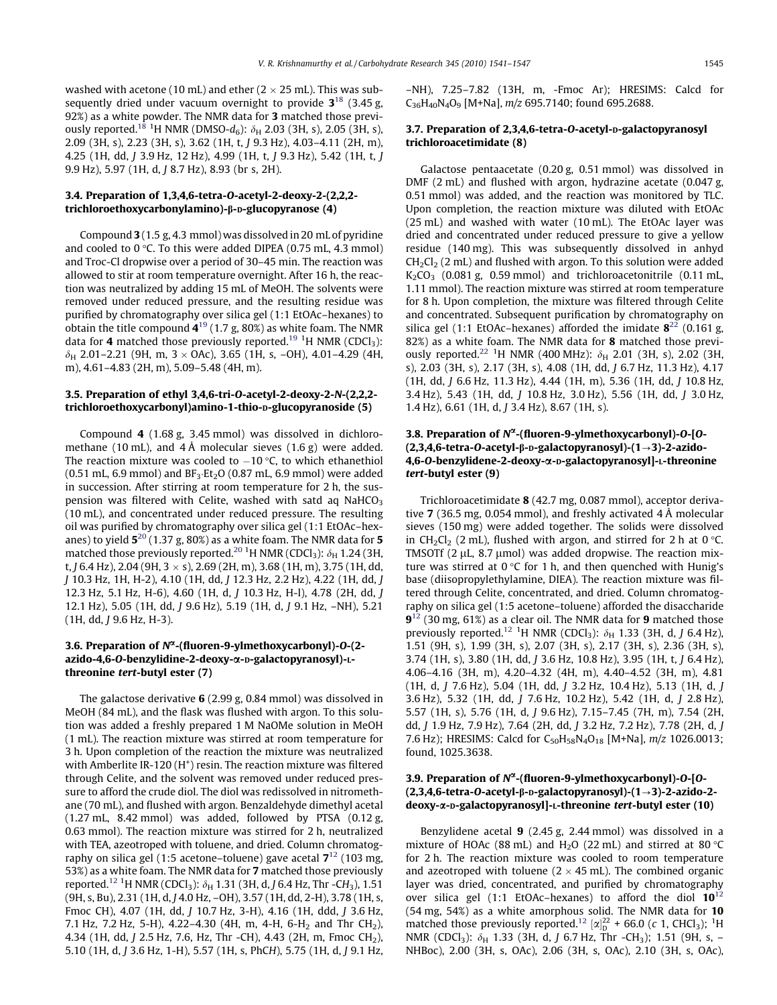washed with acetone (10 mL) and ether ( $2 \times 25$  mL). This was subsequently dried under vacuum overnight to provide  $3^{18}$  (3.45 g, 92%) as a white powder. The NMR data for 3 matched those previously reported.<sup>18 1</sup>H NMR (DMSO- $d_6$ ):  $\delta_{\rm H}$  2.03 (3H, s), 2.05 (3H, s), 2.09 (3H, s), 2.23 (3H, s), 3.62 (1H, t, J 9.3 Hz), 4.03–4.11 (2H, m), 4.25 (1H, dd, J 3.9 Hz, 12 Hz), 4.99 (1H, t, J 9.3 Hz), 5.42 (1H, t, J 9.9 Hz), 5.97 (1H, d, J 8.7 Hz), 8.93 (br s, 2H).

### 3.4. Preparation of 1,3,4,6-tetra-O-acetyl-2-deoxy-2-(2,2,2 trichloroethoxycarbonylamino)-β-D-glucopyranose (4)

Compound 3 (1.5 g, 4.3 mmol) was dissolved in 20 mL of pyridine and cooled to  $0^{\circ}$ C. To this were added DIPEA (0.75 mL, 4.3 mmol) and Troc-Cl dropwise over a period of 30–45 min. The reaction was allowed to stir at room temperature overnight. After 16 h, the reaction was neutralized by adding 15 mL of MeOH. The solvents were removed under reduced pressure, and the resulting residue was purified by chromatography over silica gel (1:1 EtOAc–hexanes) to obtain the title compound  $4^{19}$  (1.7 g, 80%) as white foam. The NMR data for **4** matched those previously reported.<sup>19</sup> <sup>1</sup>H NMR (CDCl<sub>3</sub>):  $\delta_H$  2.01–2.21 (9H, m, 3  $\times$  OAc), 3.65 (1H, s, –OH), 4.01–4.29 (4H, m), 4.61–4.83 (2H, m), 5.09–5.48 (4H, m).

#### 3.5. Preparation of ethyl 3,4,6-tri-O-acetyl-2-deoxy-2-N-(2,2,2 trichloroethoxycarbonyl)amino-1-thio-D-glucopyranoside (5)

Compound 4 (1.68 g, 3.45 mmol) was dissolved in dichloromethane (10 mL), and 4 Å molecular sieves  $(1.6 g)$  were added. The reaction mixture was cooled to  $-10$  °C, to which ethanethiol  $(0.51 \text{ mL}, 6.9 \text{ mmol})$  and  $BF_3 \text{ Et}_2O (0.87 \text{ mL}, 6.9 \text{ mmol})$  were added in succession. After stirring at room temperature for 2 h, the suspension was filtered with Celite, washed with satd aq NaHCO<sub>3</sub> (10 mL), and concentrated under reduced pressure. The resulting oil was purified by chromatography over silica gel (1:1 EtOAc–hexanes) to yield  $5^{20}$  (1.37 g, 80%) as a white foam. The NMR data for 5 matched those previously reported. $^{20}$   $^1$ H NMR (CDCl $_3$ ):  $\delta_{\rm H}$  1.24 (3H, t, J 6.4 Hz), 2.04 (9H,  $3 \times s$ ), 2.69 (2H, m), 3.68 (1H, m), 3.75 (1H, dd, J 10.3 Hz, 1H, H-2), 4.10 (1H, dd, J 12.3 Hz, 2.2 Hz), 4.22 (1H, dd, J 12.3 Hz, 5.1 Hz, H-6), 4.60 (1H, d, J 10.3 Hz, H-l), 4.78 (2H, dd, J 12.1 Hz), 5.05 (1H, dd, J 9.6 Hz), 5.19 (1H, d, J 9.1 Hz, –NH), 5.21 (1H, dd, J 9.6 Hz, H-3).

### 3.6. Preparation of  $N^{\alpha}$ -(fluoren-9-ylmethoxycarbonyl)-O-(2azido-4,6-O-benzylidine-2-deoxy-a-D-galactopyranosyl)-Lthreonine tert-butyl ester (7)

The galactose derivative 6 (2.99 g, 0.84 mmol) was dissolved in MeOH (84 mL), and the flask was flushed with argon. To this solution was added a freshly prepared 1 M NaOMe solution in MeOH (1 mL). The reaction mixture was stirred at room temperature for 3 h. Upon completion of the reaction the mixture was neutralized with Amberlite IR-120 ( $H^+$ ) resin. The reaction mixture was filtered through Celite, and the solvent was removed under reduced pressure to afford the crude diol. The diol was redissolved in nitromethane (70 mL), and flushed with argon. Benzaldehyde dimethyl acetal (1.27 mL, 8.42 mmol) was added, followed by PTSA (0.12 g, 0.63 mmol). The reaction mixture was stirred for 2 h, neutralized with TEA, azeotroped with toluene, and dried. Column chromatography on silica gel (1:5 acetone–toluene) gave acetal  $7^{12}$  (103 mg, 53%) as a white foam. The NMR data for 7 matched those previously reported. $^{12}$   $^{1}$ H NMR (CDCl $_{3}$ ):  $\delta_{\rm H}$  1.31 (3H, d, J 6.4 Hz, Thr -CH $_{3}$ ), 1.51 (9H, s, Bu), 2.31 (1H, d, J 4.0 Hz, –OH), 3.57 (1H, dd, 2-H), 3.78 (1H, s, Fmoc CH), 4.07 (1H, dd, J 10.7 Hz, 3-H), 4.16 (1H, ddd, J 3.6 Hz, 7.1 Hz, 7.2 Hz, 5-H), 4.22-4.30 (4H, m, 4-H, 6-H<sub>2</sub> and Thr CH<sub>2</sub>), 4.34 (1H, dd, J 2.5 Hz, 7.6, Hz, Thr -CH), 4.43 (2H, m, Fmoc CH2), 5.10 (1H, d, J 3.6 Hz, 1-H), 5.57 (1H, s, PhCH), 5.75 (1H, d, J 9.1 Hz,

#### 3.7. Preparation of 2,3,4,6-tetra-O-acetyl-D-galactopyranosyl trichloroacetimidate (8)

Galactose pentaacetate (0.20 g, 0.51 mmol) was dissolved in DMF (2 mL) and flushed with argon, hydrazine acetate (0.047 g, 0.51 mmol) was added, and the reaction was monitored by TLC. Upon completion, the reaction mixture was diluted with EtOAc (25 mL) and washed with water (10 mL). The EtOAc layer was dried and concentrated under reduced pressure to give a yellow residue (140 mg). This was subsequently dissolved in anhyd  $CH<sub>2</sub>Cl<sub>2</sub>$  (2 mL) and flushed with argon. To this solution were added  $K<sub>2</sub>CO<sub>3</sub>$  (0.081 g, 0.59 mmol) and trichloroacetonitrile (0.11 mL, 1.11 mmol). The reaction mixture was stirred at room temperature for 8 h. Upon completion, the mixture was filtered through Celite and concentrated. Subsequent purification by chromatography on silica gel (1:1 EtOAc–hexanes) afforded the imidate  $8^{22}$  (0.161 g, 82%) as a white foam. The NMR data for 8 matched those previously reported.<sup>22</sup> <sup>1</sup>H NMR (400 MHz):  $\delta_H$  2.01 (3H, s), 2.02 (3H, s), 2.03 (3H, s), 2.17 (3H, s), 4.08 (1H, dd, J 6.7 Hz, 11.3 Hz), 4.17 (1H, dd, J 6.6 Hz, 11.3 Hz), 4.44 (1H, m), 5.36 (1H, dd, J 10.8 Hz, 3.4 Hz), 5.43 (1H, dd, J 10.8 Hz, 3.0 Hz), 5.56 (1H, dd, J 3.0 Hz, 1.4 Hz), 6.61 (1H, d, J 3.4 Hz), 8.67 (1H, s).

## 3.8. Preparation of  $N^{\alpha}$ -(fluoren-9-ylmethoxycarbonyl)-O-[O-(2,3,4,6-tetra-O-acetyl- $\beta$ - $D$ -galactopyranosyl)-(1 $\rightarrow$ 3)-2-azido-4,6-O-benzylidene-2-deoxy-a-D-galactopyranosyl]-L-threonine tert-butyl ester (9)

Trichloroacetimidate 8 (42.7 mg, 0.087 mmol), acceptor derivative 7 (36.5 mg, 0.054 mmol), and freshly activated 4 Å molecular sieves (150 mg) were added together. The solids were dissolved in CH<sub>2</sub>Cl<sub>2</sub> (2 mL), flushed with argon, and stirred for 2 h at 0 °C. TMSOTf  $(2 \mu L, 8.7 \mu mol)$  was added dropwise. The reaction mixture was stirred at  $0^{\circ}C$  for 1 h, and then quenched with Hunig's base (diisopropylethylamine, DIEA). The reaction mixture was filtered through Celite, concentrated, and dried. Column chromatography on silica gel (1:5 acetone–toluene) afforded the disaccharide  $9^{12}$  (30 mg, 61%) as a clear oil. The NMR data for 9 matched those previously reported.<sup>12</sup> <sup>1</sup>H NMR (CDCl<sub>3</sub>):  $\delta_H$  1.33 (3H, d, J 6.4 Hz), 1.51 (9H, s), 1.99 (3H, s), 2.07 (3H, s), 2.17 (3H, s), 2.36 (3H, s), 3.74 (1H, s), 3.80 (1H, dd, J 3.6 Hz, 10.8 Hz), 3.95 (1H, t, J 6.4 Hz), 4.06–4.16 (3H, m), 4.20–4.32 (4H, m), 4.40–4.52 (3H, m), 4.81 (1H, d, J 7.6 Hz), 5.04 (1H, dd, J 3.2 Hz, 10.4 Hz), 5.13 (1H, d, J 3.6 Hz), 5.32 (1H, dd, J 7.6 Hz, 10.2 Hz), 5.42 (1H, d, J 2.8 Hz), 5.57 (1H, s), 5.76 (1H, d, J 9.6 Hz), 7.15–7.45 (7H, m), 7.54 (2H, dd, J 1.9 Hz, 7.9 Hz), 7.64 (2H, dd, J 3.2 Hz, 7.2 Hz), 7.78 (2H, d, J 7.6 Hz); HRESIMS: Calcd for  $C_{50}H_{58}N_4O_{18}$  [M+Na],  $m/z$  1026.0013; found, 1025.3638.

## 3.9. Preparation of  $N^{\alpha}$ -(fluoren-9-ylmethoxycarbonyl)-O-[O-(2,3,4,6-tetra-O-acetyl- $\beta$ -D-galactopyranosyl)-(1 $\rightarrow$ 3)-2-azido-2deoxy-a-D-galactopyranosyl]-L-threonine tert-butyl ester (10)

Benzylidene acetal 9 (2.45 g, 2.44 mmol) was dissolved in a mixture of HOAc (88 mL) and H<sub>2</sub>O (22 mL) and stirred at 80  $\degree$ C for 2 h. The reaction mixture was cooled to room temperature and azeotroped with toluene ( $2 \times 45$  mL). The combined organic layer was dried, concentrated, and purified by chromatography over silica gel  $(1:1 \text{ EtoAc-hexanes})$  to afford the diol  $10^{12}$ (54 mg, 54%) as a white amorphous solid. The NMR data for 10 matched those previously reported.<sup>12</sup>  $\left[\alpha\right]_D^{22}$  + 66.0 (c 1, CHCl<sub>3</sub>); <sup>1</sup>H NMR (CDCl<sub>3</sub>):  $\delta_H$  1.33 (3H, d, J 6.7 Hz, Thr -CH<sub>3</sub>); 1.51 (9H, s, – NHBoc), 2.00 (3H, s, OAc), 2.06 (3H, s, OAc), 2.10 (3H, s, OAc),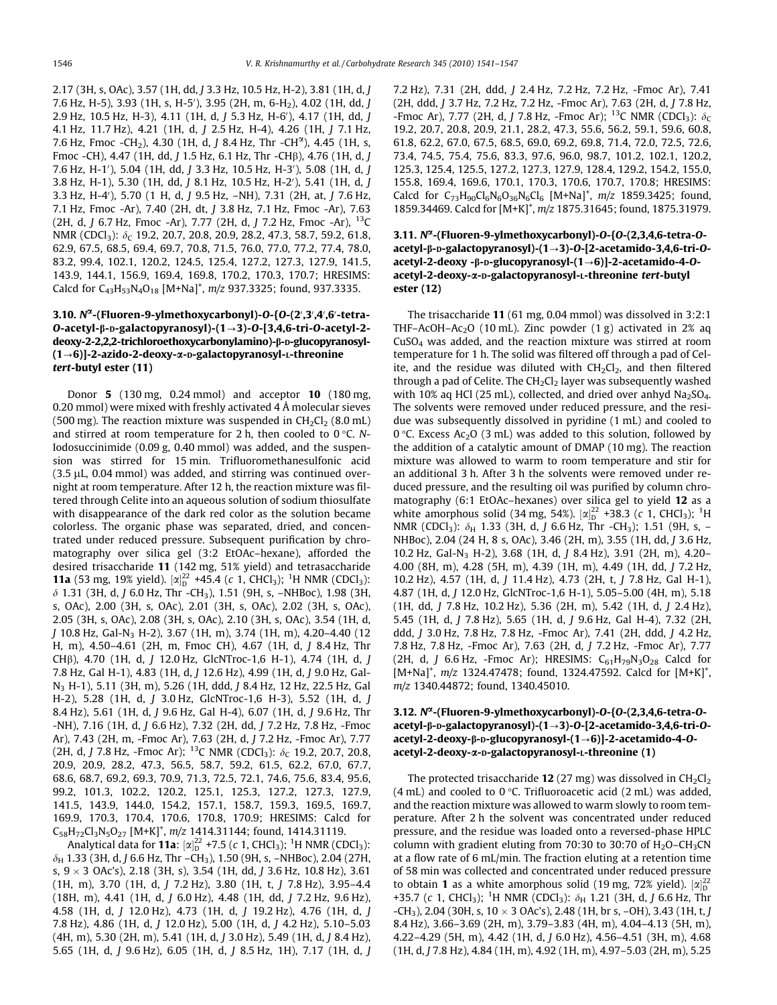2.17 (3H, s, OAc), 3.57 (1H, dd, J 3.3 Hz, 10.5 Hz, H-2), 3.81 (1H, d, J 7.6 Hz, H-5), 3.93 (1H, s, H-5'), 3.95 (2H, m, 6-H<sub>2</sub>), 4.02 (1H, dd, *J* 2.9 Hz, 10.5 Hz, H-3), 4.11 (1H, d, J 5.3 Hz, H-6′), 4.17 (1H, dd, J 4.1 Hz, 11.7 Hz), 4.21 (1H, d, J 2.5 Hz, H-4), 4.26 (1H, J 7.1 Hz, 7.6 Hz, Fmoc -CH<sub>2</sub>), 4.30 (1H, d, J 8.4 Hz, Thr -CH<sup> $\alpha$ </sup>), 4.45 (1H, s, Fmoc -CH), 4.47 (1H, dd, J 1.5 Hz, 6.1 Hz, Thr -CHb), 4.76 (1H, d, J 7.6 Hz, H-1′), 5.04 (1H, dd, J 3.3 Hz, 10.5 Hz, H-3′), 5.08 (1H, d, J 3.8 Hz, H-1), 5.30 (1H, dd, J 8.1 Hz, 10.5 Hz, H-2'), 5.41 (1H, d, J 3.3 Hz, H-4'), 5.70 (1 H, d, J 9.5 Hz, –NH), 7.31 (2H, at, J 7.6 Hz, 7.1 Hz, Fmoc -Ar), 7.40 (2H, dt, J 3.8 Hz, 7.1 Hz, Fmoc -Ar), 7.63 (2H, d, J 6.7 Hz, Fmoc -Ar), 7.77 (2H, d, J 7.2 Hz, Fmoc -Ar), 13C NMR (CDCl<sub>3</sub>): δ<sub>C</sub> 19.2, 20.7, 20.8, 20.9, 28.2, 47.3, 58.7, 59.2, 61.8, 62.9, 67.5, 68.5, 69.4, 69.7, 70.8, 71.5, 76.0, 77.0, 77.2, 77.4, 78.0, 83.2, 99.4, 102.1, 120.2, 124.5, 125.4, 127.2, 127.3, 127.9, 141.5, 143.9, 144.1, 156.9, 169.4, 169.8, 170.2, 170.3, 170.7; HRESIMS: Calcd for  $C_{43}H_{53}N_4O_{18}$  [M+Na]<sup>+</sup>,  $m/z$  937.3325; found, 937.3335.

# 3.10.  $N^{\alpha}$ -(Fluoren-9-ylmethoxycarbonyl)-O-{O-(2',3',4',6'-tetra-O-acetyl- $\beta$ -D-galactopyranosyl)-(1 $\rightarrow$ 3)-O-[3,4,6-tri-O-acetyl-2deoxy-2-2,2,2-trichloroethoxycarbonylamino)-β-D-glucopyranosyl- $(1\rightarrow 6)$ ]-2-azido-2-deoxy- $\alpha$ -p-galactopyranosyl-L-threonine tert-butyl ester (11)

Donor 5 (130 mg, 0.24 mmol) and acceptor 10 (180 mg, 0.20 mmol) were mixed with freshly activated 4 Å molecular sieves (500 mg). The reaction mixture was suspended in  $CH_2Cl_2$  (8.0 mL) and stirred at room temperature for 2 h, then cooled to  $0^{\circ}$ C. N-Iodosuccinimide (0.09 g, 0.40 mmol) was added, and the suspension was stirred for 15 min. Trifluoromethanesulfonic acid  $(3.5 \mu L, 0.04 \text{ mmol})$  was added, and stirring was continued overnight at room temperature. After 12 h, the reaction mixture was filtered through Celite into an aqueous solution of sodium thiosulfate with disappearance of the dark red color as the solution became colorless. The organic phase was separated, dried, and concentrated under reduced pressure. Subsequent purification by chromatography over silica gel (3:2 EtOAc–hexane), afforded the desired trisaccharide 11 (142 mg, 51% yield) and tetrasaccharide **11a** (53 mg, 19% yield).  $[\alpha]_D^{22}$  +45.4 (c 1, CHCl<sub>3</sub>); <sup>1</sup>H NMR (CDCl<sub>3</sub>):  $\delta$  1.31 (3H, d, J 6.0 Hz, Thr -CH<sub>3</sub>), 1.51 (9H, s, -NHBoc), 1.98 (3H, s, OAc), 2.00 (3H, s, OAc), 2.01 (3H, s, OAc), 2.02 (3H, s, OAc), 2.05 (3H, s, OAc), 2.08 (3H, s, OAc), 2.10 (3H, s, OAc), 3.54 (1H, d, J 10.8 Hz, Gal-N3 H-2), 3.67 (1H, m), 3.74 (1H, m), 4.20–4.40 (12 H, m), 4.50–4.61 (2H, m, Fmoc CH), 4.67 (1H, d, J 8.4 Hz, Thr CHb), 4.70 (1H, d, J 12.0 Hz, GlcNTroc-1,6 H-1), 4.74 (1H, d, J 7.8 Hz, Gal H-1), 4.83 (1H, d, J 12.6 Hz), 4.99 (1H, d, J 9.0 Hz, Gal-N3 H-1), 5.11 (3H, m), 5.26 (1H, ddd, J 8.4 Hz, 12 Hz, 22.5 Hz, Gal H-2), 5.28 (1H, d, J 3.0 Hz, GlcNTroc-1,6 H-3), 5.52 (1H, d, J 8.4 Hz), 5.61 (1H, d, J 9.6 Hz, Gal H-4), 6.07 (1H, d, J 9.6 Hz, Thr -NH), 7.16 (1H, d, J 6.6 Hz), 7.32 (2H, dd, J 7.2 Hz, 7.8 Hz, -Fmoc Ar), 7.43 (2H, m, -Fmoc Ar), 7.63 (2H, d, J 7.2 Hz, -Fmoc Ar), 7.77 (2H, d, J 7.8 Hz, -Fmoc Ar); <sup>13</sup>C NMR (CDCl<sub>3</sub>):  $\delta_c$  19.2, 20.7, 20.8, 20.9, 20.9, 28.2, 47.3, 56.5, 58.7, 59.2, 61.5, 62.2, 67.0, 67.7, 68.6, 68.7, 69.2, 69.3, 70.9, 71.3, 72.5, 72.1, 74.6, 75.6, 83.4, 95.6, 99.2, 101.3, 102.2, 120.2, 125.1, 125.3, 127.2, 127.3, 127.9, 141.5, 143.9, 144.0, 154.2, 157.1, 158.7, 159.3, 169.5, 169.7, 169.9, 170.3, 170.4, 170.6, 170.8, 170.9; HRESIMS: Calcd for  $C_{58}H_{72}Cl_{3}N_{5}O_{27}$  [M+K]<sup>+</sup>, m/z 1414.31144; found, 1414.31119.

Analytical data for **11a**:  $[\alpha]_D^{22}$  +7.5 (c 1, CHCl<sub>3</sub>); <sup>1</sup>H NMR (CDCl<sub>3</sub>):  $\delta_H$  1.33 (3H, d, J 6.6 Hz, Thr –CH<sub>3</sub>), 1.50 (9H, s, –NHBoc), 2.04 (27H, s,  $9 \times 3$  OAc's), 2.18 (3H, s), 3.54 (1H, dd, J 3.6 Hz, 10.8 Hz), 3.61 (1H, m), 3.70 (1H, d, J 7.2 Hz), 3.80 (1H, t, J 7.8 Hz), 3.95–4.4 (18H, m), 4.41 (1H, d, J 6.0 Hz), 4.48 (1H, dd, J 7.2 Hz, 9.6 Hz), 4.58 (1H, d, J 12.0 Hz), 4.73 (1H, d, J 19.2 Hz), 4.76 (1H, d, J 7.8 Hz), 4.86 (1H, d, J 12.0 Hz), 5.00 (1H, d, J 4.2 Hz), 5.10–5.03 (4H, m), 5.30 (2H, m), 5.41 (1H, d, J 3.0 Hz), 5.49 (1H, d, J 8.4 Hz), 5.65 (1H, d, J 9.6 Hz), 6.05 (1H, d, J 8.5 Hz, 1H), 7.17 (1H, d, J 7.2 Hz), 7.31 (2H, ddd, J 2.4 Hz, 7.2 Hz, 7.2 Hz, -Fmoc Ar), 7.41 (2H, ddd, J 3.7 Hz, 7.2 Hz, 7.2 Hz, -Fmoc Ar), 7.63 (2H, d, J 7.8 Hz, -Fmoc Ar), 7.77 (2H, d, J 7.8 Hz, -Fmoc Ar); <sup>13</sup>C NMR (CDCl<sub>3</sub>):  $\delta_c$ 19.2, 20.7, 20.8, 20.9, 21.1, 28.2, 47.3, 55.6, 56.2, 59.1, 59.6, 60.8, 61.8, 62.2, 67.0, 67.5, 68.5, 69.0, 69.2, 69.8, 71.4, 72.0, 72.5, 72.6, 73.4, 74.5, 75.4, 75.6, 83.3, 97.6, 96.0, 98.7, 101.2, 102.1, 120.2, 125.3, 125.4, 125.5, 127.2, 127.3, 127.9, 128.4, 129.2, 154.2, 155.0, 155.8, 169.4, 169.6, 170.1, 170.3, 170.6, 170.7, 170.8; HRESIMS: Calcd for  $C_{73}H_{90}Cl_6N_6O_{36}N_6Cl_6$  [M+Na]<sup>+</sup>,  $m/z$  1859.3425; found, 1859.34469. Calcd for [M+K]<sup>+</sup>, m/z 1875.31645; found, 1875.31979.

## 3.11.  $N^{\alpha}$ -(Fluoren-9-ylmethoxycarbonyl)-O-{O-(2,3,4,6-tetra-Oacetyl-β-D-galactopyranosyl)-(1→3)-O-[2-acetamido-3,4,6-tri-Oacetyl-2-deoxy - $\beta$ -D-glucopyranosyl- $(1\rightarrow 6)$ ]-2-acetamido-4-Oacetyl-2-deoxy-a-D-galactopyranosyl-L-threonine tert-butyl ester (12)

The trisaccharide 11 (61 mg, 0.04 mmol) was dissolved in 3:2:1 THF–AcOH–Ac<sub>2</sub>O (10 mL). Zinc powder  $(1 g)$  activated in 2% aq  $CuSO<sub>4</sub>$  was added, and the reaction mixture was stirred at room temperature for 1 h. The solid was filtered off through a pad of Celite, and the residue was diluted with  $CH<sub>2</sub>Cl<sub>2</sub>$ , and then filtered through a pad of Celite. The  $CH<sub>2</sub>Cl<sub>2</sub>$  layer was subsequently washed with 10% aq HCl (25 mL), collected, and dried over anhyd  $Na<sub>2</sub>SO<sub>4</sub>$ . The solvents were removed under reduced pressure, and the residue was subsequently dissolved in pyridine (1 mL) and cooled to 0 °C. Excess Ac<sub>2</sub>O (3 mL) was added to this solution, followed by the addition of a catalytic amount of DMAP (10 mg). The reaction mixture was allowed to warm to room temperature and stir for an additional 3 h. After 3 h the solvents were removed under reduced pressure, and the resulting oil was purified by column chromatography (6:1 EtOAc–hexanes) over silica gel to yield 12 as a white amorphous solid (34 mg, 54%).  $[\alpha]_D^{22}$  +38.3 (c 1, CHCl<sub>3</sub>); <sup>1</sup>H NMR (CDCl<sub>3</sub>):  $\delta_H$  1.33 (3H, d, J 6.6 Hz, Thr -CH<sub>3</sub>); 1.51 (9H, s, -NHBoc), 2.04 (24 H, 8 s, OAc), 3.46 (2H, m), 3.55 (1H, dd, J 3.6 Hz, 10.2 Hz, Gal-N3 H-2), 3.68 (1H, d, J 8.4 Hz), 3.91 (2H, m), 4.20– 4.00 (8H, m), 4.28 (5H, m), 4.39 (1H, m), 4.49 (1H, dd, J 7.2 Hz, 10.2 Hz), 4.57 (1H, d, J 11.4 Hz), 4.73 (2H, t, J 7.8 Hz, Gal H-1), 4.87 (1H, d, J 12.0 Hz, GlcNTroc-1,6 H-1), 5.05–5.00 (4H, m), 5.18 (1H, dd, J 7.8 Hz, 10.2 Hz), 5.36 (2H, m), 5.42 (1H, d, J 2.4 Hz), 5.45 (1H, d, J 7.8 Hz), 5.65 (1H, d, J 9.6 Hz, Gal H-4), 7.32 (2H, ddd, J 3.0 Hz, 7.8 Hz, 7.8 Hz, -Fmoc Ar), 7.41 (2H, ddd, J 4.2 Hz, 7.8 Hz, 7.8 Hz, -Fmoc Ar), 7.63 (2H, d, J 7.2 Hz, -Fmoc Ar), 7.77 (2H, d, J 6.6 Hz, -Fmoc Ar); HRESIMS:  $C_{61}H_{79}N_3O_{28}$  Calcd for [M+Na]<sup>+</sup>, m/z 1324.47478; found, 1324.47592. Calcd for [M+K]<sup>+</sup>, m/z 1340.44872; found, 1340.45010.

## 3.12.  $N^{\alpha}$ -(Fluoren-9-ylmethoxycarbonyl)-O-{O-(2,3,4,6-tetra-Oacetyl- $\beta$ - $D$ -galactopyranosyl)-(1 $\rightarrow$ 3)-O-[2-acetamido-3,4,6-tri-Oacetyl-2-deoxy-ß-p-glucopyranosyl- $(1\rightarrow 6)$ ]-2-acetamido-4-Oacetyl-2-deoxy-a-D-galactopyranosyl-L-threonine (1)

The protected trisaccharide 12 (27 mg) was dissolved in  $CH_2Cl_2$  $(4 \text{ mL})$  and cooled to 0 °C. Trifluoroacetic acid  $(2 \text{ mL})$  was added, and the reaction mixture was allowed to warm slowly to room temperature. After 2 h the solvent was concentrated under reduced pressure, and the residue was loaded onto a reversed-phase HPLC column with gradient eluting from 70:30 to 30:70 of  $H<sub>2</sub>O-CH<sub>3</sub>CN$ at a flow rate of 6 mL/min. The fraction eluting at a retention time of 58 min was collected and concentrated under reduced pressure to obtain 1 as a white amorphous solid (19 mg, 72% yield).  $[\alpha]_D^{22}$ +35.7 (c 1, CHCl<sub>3</sub>); <sup>1</sup>H NMR (CDCl<sub>3</sub>):  $\delta_H$  1.21 (3H, d, J 6.6 Hz, Thr  $-CH_3$ ), 2.04 (30H, s, 10  $\times$  3 OAc's), 2.48 (1H, br s,  $-OH$ ), 3.43 (1H, t, J 8.4 Hz), 3.66–3.69 (2H, m), 3.79–3.83 (4H, m), 4.04–4.13 (5H, m), 4.22–4.29 (5H, m), 4.42 (1H, d, J 6.0 Hz), 4.56–4.51 (3H, m), 4.68 (1H, d, J 7.8 Hz), 4.84 (1H, m), 4.92 (1H, m), 4.97–5.03 (2H, m), 5.25